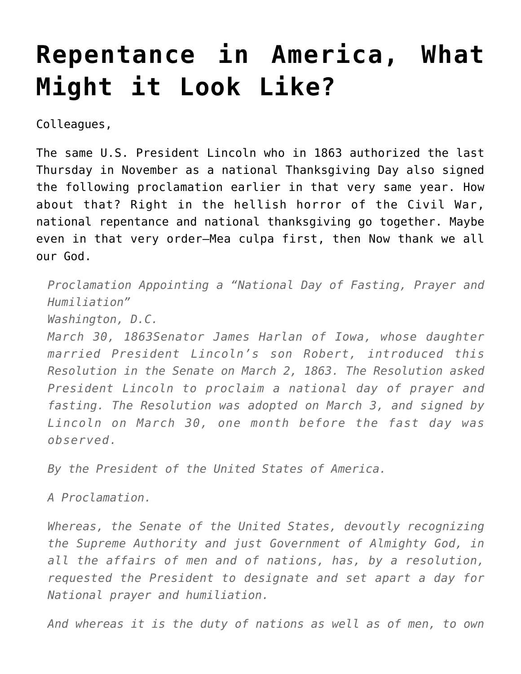## **[Repentance in America, What](https://crossings.org/repentance-in-america-what-might-it-look-like/) [Might it Look Like?](https://crossings.org/repentance-in-america-what-might-it-look-like/)**

Colleagues,

The same U.S. President Lincoln who in 1863 authorized the last Thursday in November as a national Thanksgiving Day also signed the following proclamation earlier in that very same year. How about that? Right in the hellish horror of the Civil War, national repentance and national thanksgiving go together. Maybe even in that very order–Mea culpa first, then Now thank we all our God.

*Proclamation Appointing a "National Day of Fasting, Prayer and Humiliation"*

*Washington, D.C.*

*March 30, 1863Senator James Harlan of Iowa, whose daughter married President Lincoln's son Robert, introduced this Resolution in the Senate on March 2, 1863. The Resolution asked President Lincoln to proclaim a national day of prayer and fasting. The Resolution was adopted on March 3, and signed by Lincoln on March 30, one month before the fast day was observed.*

*By the President of the United States of America.*

*A Proclamation.*

*Whereas, the Senate of the United States, devoutly recognizing the Supreme Authority and just Government of Almighty God, in all the affairs of men and of nations, has, by a resolution, requested the President to designate and set apart a day for National prayer and humiliation.*

*And whereas it is the duty of nations as well as of men, to own*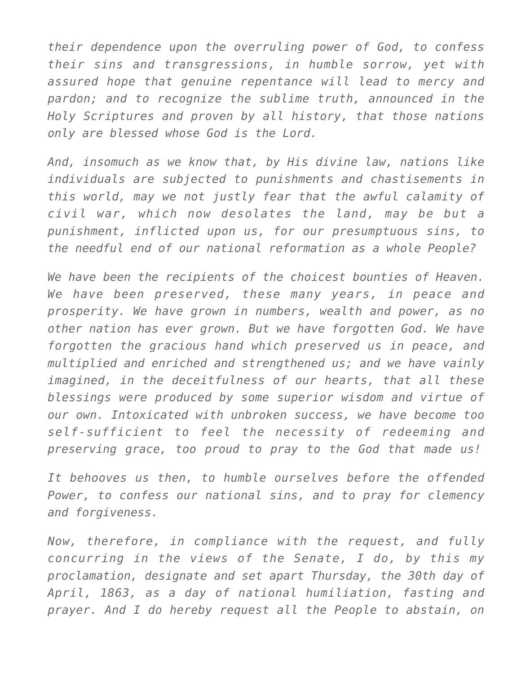*their dependence upon the overruling power of God, to confess their sins and transgressions, in humble sorrow, yet with assured hope that genuine repentance will lead to mercy and pardon; and to recognize the sublime truth, announced in the Holy Scriptures and proven by all history, that those nations only are blessed whose God is the Lord.*

*And, insomuch as we know that, by His divine law, nations like individuals are subjected to punishments and chastisements in this world, may we not justly fear that the awful calamity of civil war, which now desolates the land, may be but a punishment, inflicted upon us, for our presumptuous sins, to the needful end of our national reformation as a whole People?*

*We have been the recipients of the choicest bounties of Heaven. We have been preserved, these many years, in peace and prosperity. We have grown in numbers, wealth and power, as no other nation has ever grown. But we have forgotten God. We have forgotten the gracious hand which preserved us in peace, and multiplied and enriched and strengthened us; and we have vainly imagined, in the deceitfulness of our hearts, that all these blessings were produced by some superior wisdom and virtue of our own. Intoxicated with unbroken success, we have become too self-sufficient to feel the necessity of redeeming and preserving grace, too proud to pray to the God that made us!*

*It behooves us then, to humble ourselves before the offended Power, to confess our national sins, and to pray for clemency and forgiveness.*

*Now, therefore, in compliance with the request, and fully concurring in the views of the Senate, I do, by this my proclamation, designate and set apart Thursday, the 30th day of April, 1863, as a day of national humiliation, fasting and prayer. And I do hereby request all the People to abstain, on*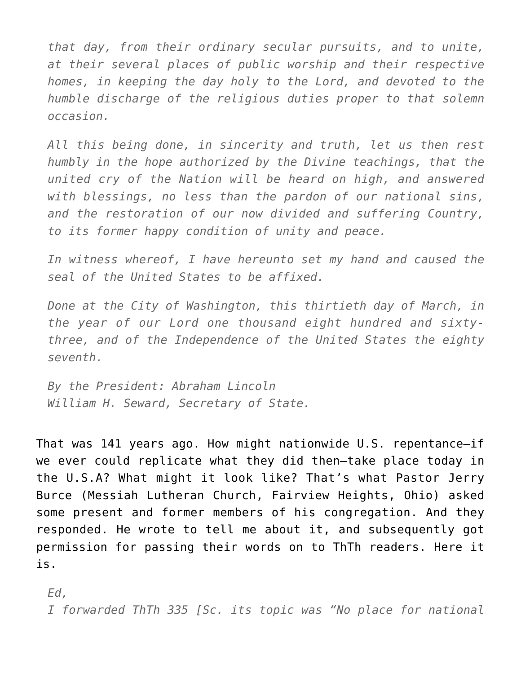*that day, from their ordinary secular pursuits, and to unite, at their several places of public worship and their respective homes, in keeping the day holy to the Lord, and devoted to the humble discharge of the religious duties proper to that solemn occasion.*

*All this being done, in sincerity and truth, let us then rest humbly in the hope authorized by the Divine teachings, that the united cry of the Nation will be heard on high, and answered with blessings, no less than the pardon of our national sins, and the restoration of our now divided and suffering Country, to its former happy condition of unity and peace.*

*In witness whereof, I have hereunto set my hand and caused the seal of the United States to be affixed.*

*Done at the City of Washington, this thirtieth day of March, in the year of our Lord one thousand eight hundred and sixtythree, and of the Independence of the United States the eighty seventh.*

*By the President: Abraham Lincoln William H. Seward, Secretary of State.*

That was 141 years ago. How might nationwide U.S. repentance–if we ever could replicate what they did then–take place today in the U.S.A? What might it look like? That's what Pastor Jerry Burce (Messiah Lutheran Church, Fairview Heights, Ohio) asked some present and former members of his congregation. And they responded. He wrote to tell me about it, and subsequently got permission for passing their words on to ThTh readers. Here it is.

*Ed,*

*I forwarded ThTh 335 [Sc. its topic was "No place for national*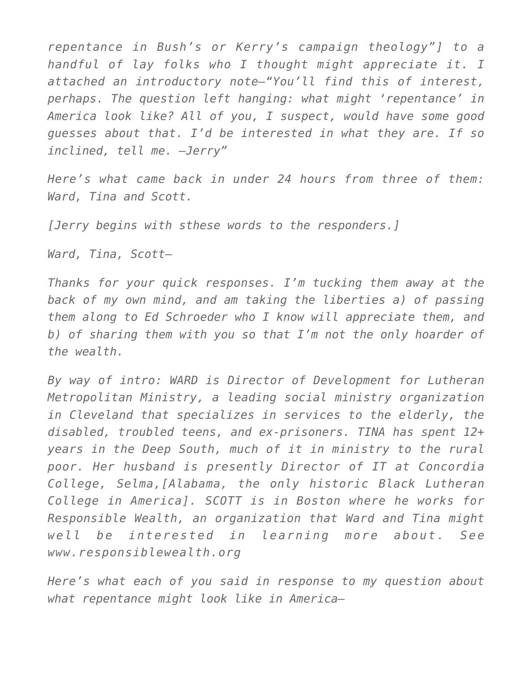*repentance in Bush's or Kerry's campaign theology"] to a handful of lay folks who I thought might appreciate it. I attached an introductory note–"You'll find this of interest, perhaps. The question left hanging: what might 'repentance' in America look like? All of you, I suspect, would have some good guesses about that. I'd be interested in what they are. If so inclined, tell me. –Jerry"*

*Here's what came back in under 24 hours from three of them: Ward, Tina and Scott.*

*[Jerry begins with sthese words to the responders.]*

*Ward, Tina, Scott–*

*Thanks for your quick responses. I'm tucking them away at the back of my own mind, and am taking the liberties a) of passing them along to Ed Schroeder who I know will appreciate them, and b) of sharing them with you so that I'm not the only hoarder of the wealth.*

*By way of intro: WARD is Director of Development for Lutheran Metropolitan Ministry, a leading social ministry organization in Cleveland that specializes in services to the elderly, the disabled, troubled teens, and ex-prisoners. TINA has spent 12+ years in the Deep South, much of it in ministry to the rural poor. Her husband is presently Director of IT at Concordia College, Selma,[Alabama, the only historic Black Lutheran College in America]. SCOTT is in Boston where he works for Responsible Wealth, an organization that Ward and Tina might well be interested in learning more about. See www.responsiblewealth.org*

*Here's what each of you said in response to my question about what repentance might look like in America–*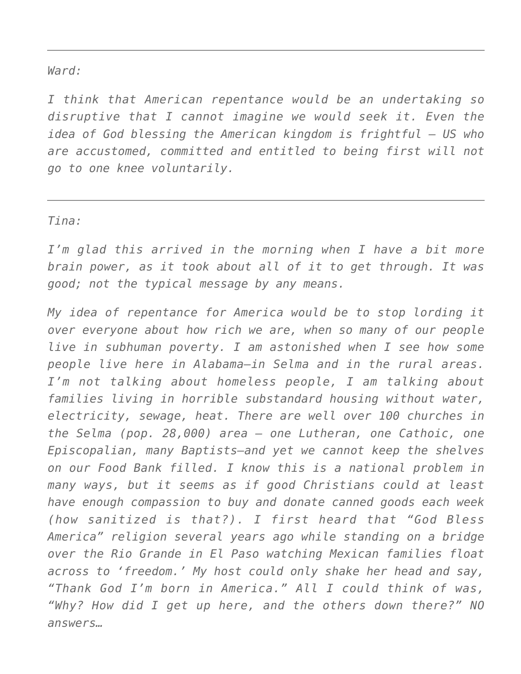## *Ward:*

*I think that American repentance would be an undertaking so disruptive that I cannot imagine we would seek it. Even the idea of God blessing the American kingdom is frightful — US who are accustomed, committed and entitled to being first will not go to one knee voluntarily.*

## *Tina:*

*I'm glad this arrived in the morning when I have a bit more brain power, as it took about all of it to get through. It was good; not the typical message by any means.*

*My idea of repentance for America would be to stop lording it over everyone about how rich we are, when so many of our people live in subhuman poverty. I am astonished when I see how some people live here in Alabama–in Selma and in the rural areas. I'm not talking about homeless people, I am talking about families living in horrible substandard housing without water, electricity, sewage, heat. There are well over 100 churches in the Selma (pop. 28,000) area — one Lutheran, one Cathoic, one Episcopalian, many Baptists–and yet we cannot keep the shelves on our Food Bank filled. I know this is a national problem in many ways, but it seems as if good Christians could at least have enough compassion to buy and donate canned goods each week (how sanitized is that?). I first heard that "God Bless America" religion several years ago while standing on a bridge over the Rio Grande in El Paso watching Mexican families float across to 'freedom.' My host could only shake her head and say, "Thank God I'm born in America." All I could think of was, "Why? How did I get up here, and the others down there?" NO answers…*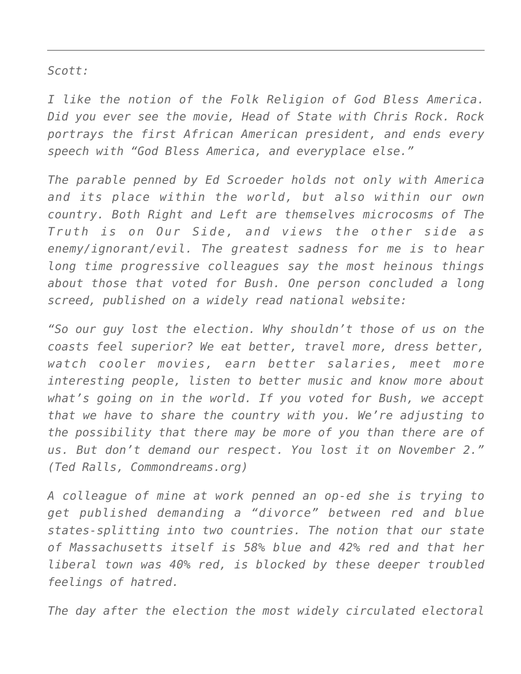*Scott:*

*I like the notion of the Folk Religion of God Bless America. Did you ever see the movie, Head of State with Chris Rock. Rock portrays the first African American president, and ends every speech with "God Bless America, and everyplace else."*

*The parable penned by Ed Scroeder holds not only with America and its place within the world, but also within our own country. Both Right and Left are themselves microcosms of The Truth is on Our Side, and views the other side as enemy/ignorant/evil. The greatest sadness for me is to hear long time progressive colleagues say the most heinous things about those that voted for Bush. One person concluded a long screed, published on a widely read national website:*

*"So our guy lost the election. Why shouldn't those of us on the coasts feel superior? We eat better, travel more, dress better, watch cooler movies, earn better salaries, meet more interesting people, listen to better music and know more about what's going on in the world. If you voted for Bush, we accept that we have to share the country with you. We're adjusting to the possibility that there may be more of you than there are of us. But don't demand our respect. You lost it on November 2." (Ted Ralls, Commondreams.org)*

*A colleague of mine at work penned an op-ed she is trying to get published demanding a "divorce" between red and blue states-splitting into two countries. The notion that our state of Massachusetts itself is 58% blue and 42% red and that her liberal town was 40% red, is blocked by these deeper troubled feelings of hatred.*

*The day after the election the most widely circulated electoral*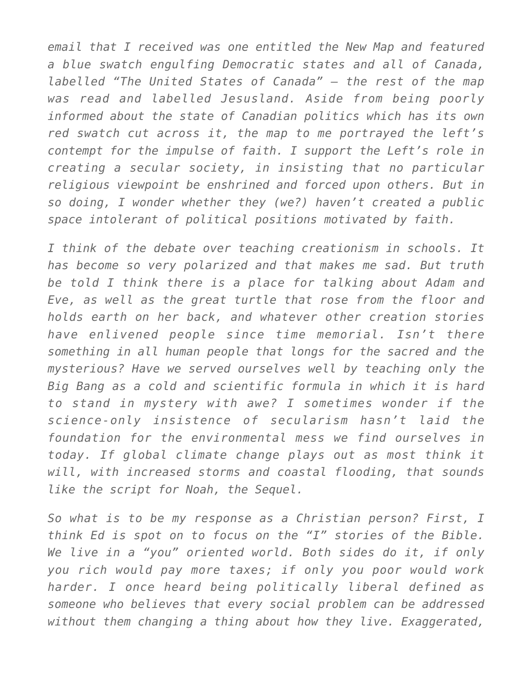*email that I received was one entitled the New Map and featured a blue swatch engulfing Democratic states and all of Canada, labelled "The United States of Canada" — the rest of the map was read and labelled Jesusland. Aside from being poorly informed about the state of Canadian politics which has its own red swatch cut across it, the map to me portrayed the left's contempt for the impulse of faith. I support the Left's role in creating a secular society, in insisting that no particular religious viewpoint be enshrined and forced upon others. But in so doing, I wonder whether they (we?) haven't created a public space intolerant of political positions motivated by faith.*

*I think of the debate over teaching creationism in schools. It has become so very polarized and that makes me sad. But truth be told I think there is a place for talking about Adam and Eve, as well as the great turtle that rose from the floor and holds earth on her back, and whatever other creation stories have enlivened people since time memorial. Isn't there something in all human people that longs for the sacred and the mysterious? Have we served ourselves well by teaching only the Big Bang as a cold and scientific formula in which it is hard to stand in mystery with awe? I sometimes wonder if the science-only insistence of secularism hasn't laid the foundation for the environmental mess we find ourselves in today. If global climate change plays out as most think it will, with increased storms and coastal flooding, that sounds like the script for Noah, the Sequel.*

*So what is to be my response as a Christian person? First, I think Ed is spot on to focus on the "I" stories of the Bible. We live in a "you" oriented world. Both sides do it, if only you rich would pay more taxes; if only you poor would work harder. I once heard being politically liberal defined as someone who believes that every social problem can be addressed without them changing a thing about how they live. Exaggerated,*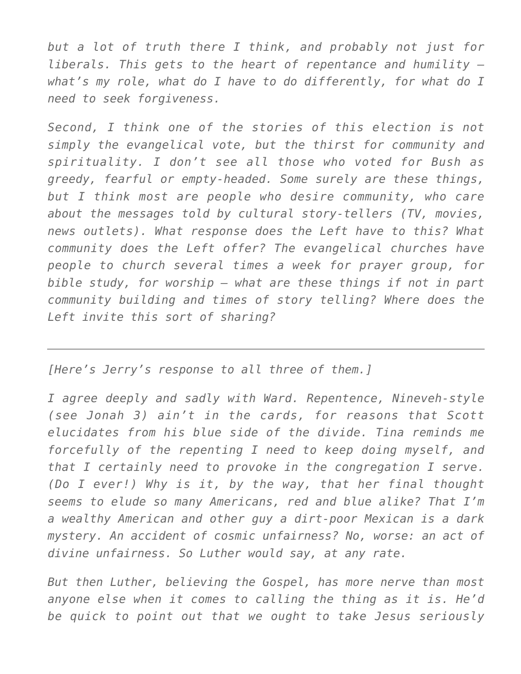*but a lot of truth there I think, and probably not just for liberals. This gets to the heart of repentance and humility – what's my role, what do I have to do differently, for what do I need to seek forgiveness.*

*Second, I think one of the stories of this election is not simply the evangelical vote, but the thirst for community and spirituality. I don't see all those who voted for Bush as greedy, fearful or empty-headed. Some surely are these things, but I think most are people who desire community, who care about the messages told by cultural story-tellers (TV, movies, news outlets). What response does the Left have to this? What community does the Left offer? The evangelical churches have people to church several times a week for prayer group, for bible study, for worship — what are these things if not in part community building and times of story telling? Where does the Left invite this sort of sharing?*

*[Here's Jerry's response to all three of them.]*

*I agree deeply and sadly with Ward. Repentence, Nineveh-style (see Jonah 3) ain't in the cards, for reasons that Scott elucidates from his blue side of the divide. Tina reminds me forcefully of the repenting I need to keep doing myself, and that I certainly need to provoke in the congregation I serve. (Do I ever!) Why is it, by the way, that her final thought seems to elude so many Americans, red and blue alike? That I'm a wealthy American and other guy a dirt-poor Mexican is a dark mystery. An accident of cosmic unfairness? No, worse: an act of divine unfairness. So Luther would say, at any rate.*

*But then Luther, believing the Gospel, has more nerve than most anyone else when it comes to calling the thing as it is. He'd be quick to point out that we ought to take Jesus seriously*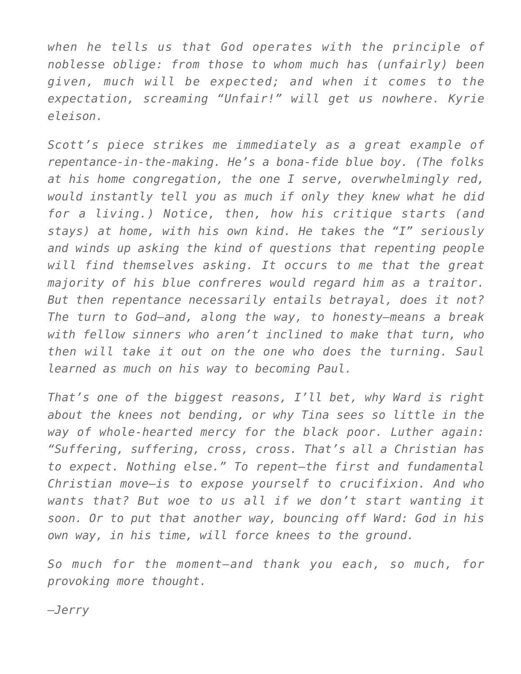*when he tells us that God operates with the principle of noblesse oblige: from those to whom much has (unfairly) been given, much will be expected; and when it comes to the expectation, screaming "Unfair!" will get us nowhere. Kyrie eleison.*

*Scott's piece strikes me immediately as a great example of repentance-in-the-making. He's a bona-fide blue boy. (The folks at his home congregation, the one I serve, overwhelmingly red, would instantly tell you as much if only they knew what he did for a living.) Notice, then, how his critique starts (and stays) at home, with his own kind. He takes the "I" seriously and winds up asking the kind of questions that repenting people will find themselves asking. It occurs to me that the great majority of his blue confreres would regard him as a traitor. But then repentance necessarily entails betrayal, does it not? The turn to God–and, along the way, to honesty–means a break with fellow sinners who aren't inclined to make that turn, who then will take it out on the one who does the turning. Saul learned as much on his way to becoming Paul.*

*That's one of the biggest reasons, I'll bet, why Ward is right about the knees not bending, or why Tina sees so little in the way of whole-hearted mercy for the black poor. Luther again: "Suffering, suffering, cross, cross. That's all a Christian has to expect. Nothing else." To repent–the first and fundamental Christian move–is to expose yourself to crucifixion. And who wants that? But woe to us all if we don't start wanting it soon. Or to put that another way, bouncing off Ward: God in his own way, in his time, will force knees to the ground.*

*So much for the moment–and thank you each, so much, for provoking more thought.*

*–Jerry*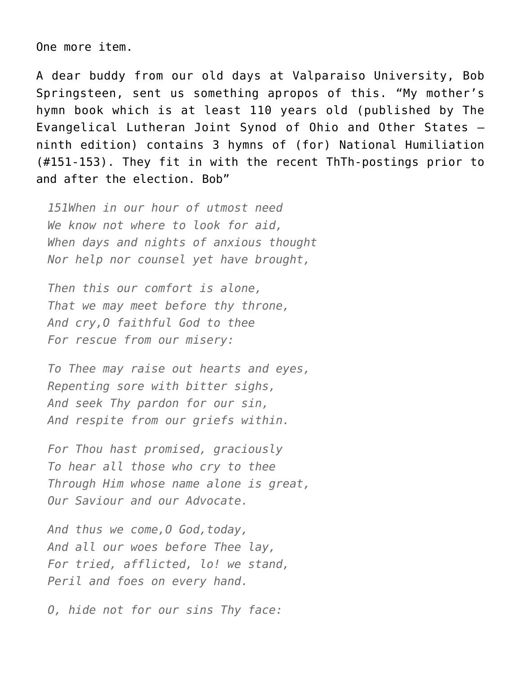One more item.

A dear buddy from our old days at Valparaiso University, Bob Springsteen, sent us something apropos of this. "My mother's hymn book which is at least 110 years old (published by The Evangelical Lutheran Joint Synod of Ohio and Other States – ninth edition) contains 3 hymns of (for) National Humiliation (#151-153). They fit in with the recent ThTh-postings prior to and after the election. Bob"

*151When in our hour of utmost need We know not where to look for aid, When days and nights of anxious thought Nor help nor counsel yet have brought,*

*Then this our comfort is alone, That we may meet before thy throne, And cry,O faithful God to thee For rescue from our misery:*

*To Thee may raise out hearts and eyes, Repenting sore with bitter sighs, And seek Thy pardon for our sin, And respite from our griefs within.*

*For Thou hast promised, graciously To hear all those who cry to thee Through Him whose name alone is great, Our Saviour and our Advocate.*

*And thus we come,O God,today, And all our woes before Thee lay, For tried, afflicted, lo! we stand, Peril and foes on every hand.*

*O, hide not for our sins Thy face:*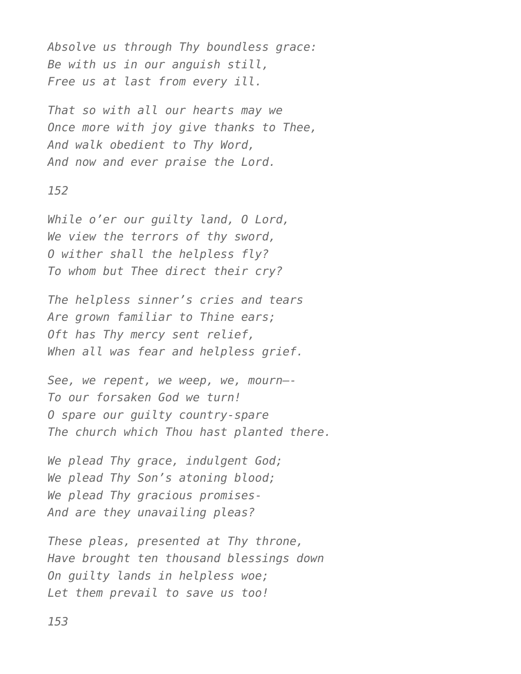*Absolve us through Thy boundless grace: Be with us in our anguish still, Free us at last from every ill.*

*That so with all our hearts may we Once more with joy give thanks to Thee, And walk obedient to Thy Word, And now and ever praise the Lord.*

## *152*

*While o'er our guilty land, O Lord, We view the terrors of thy sword, O wither shall the helpless fly? To whom but Thee direct their cry?*

*The helpless sinner's cries and tears Are grown familiar to Thine ears; Oft has Thy mercy sent relief, When all was fear and helpless grief.*

*See, we repent, we weep, we, mourn—- To our forsaken God we turn! O spare our guilty country-spare The church which Thou hast planted there.*

*We plead Thy grace, indulgent God; We plead Thy Son's atoning blood; We plead Thy gracious promises-And are they unavailing pleas?*

*These pleas, presented at Thy throne, Have brought ten thousand blessings down On guilty lands in helpless woe; Let them prevail to save us too!*